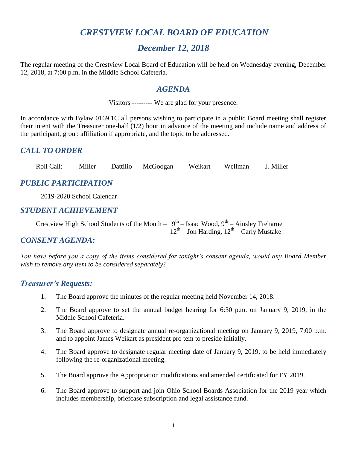# *CRESTVIEW LOCAL BOARD OF EDUCATION*

# *December 12, 2018*

The regular meeting of the Crestview Local Board of Education will be held on Wednesday evening, December 12, 2018, at 7:00 p.m. in the Middle School Cafeteria.

#### *AGENDA*

Visitors --------- We are glad for your presence.

In accordance with Bylaw 0169.1C all persons wishing to participate in a public Board meeting shall register their intent with the Treasurer one-half (1/2) hour in advance of the meeting and include name and address of the participant, group affiliation if appropriate, and the topic to be addressed.

### *CALL TO ORDER*

Roll Call: Miller Dattilio McGoogan Weikart Wellman J. Miller

## *PUBLIC PARTICIPATION*

2019-2020 School Calendar

#### *STUDENT ACHIEVEMENT*

Crestview High School Students of the Month  $-9^{th}$  – Isaac Wood,  $9^{th}$  – Ainsley Treharne  $12^{th}$  – Jon Harding,  $12^{th}$  – Carly Mustake

#### *CONSENT AGENDA:*

*You have before you a copy of the items considered for tonight's consent agenda, would any Board Member wish to remove any item to be considered separately?*

#### *Treasurer's Requests:*

- 1. The Board approve the minutes of the regular meeting held November 14, 2018.
- 2. The Board approve to set the annual budget hearing for 6:30 p.m. on January 9, 2019, in the Middle School Cafeteria.
- 3. The Board approve to designate annual re-organizational meeting on January 9, 2019, 7:00 p.m. and to appoint James Weikart as president pro tem to preside initially.
- 4. The Board approve to designate regular meeting date of January 9, 2019, to be held immediately following the re-organizational meeting.
- 5. The Board approve the Appropriation modifications and amended certificated for FY 2019.
- 6. The Board approve to support and join Ohio School Boards Association for the 2019 year which includes membership, briefcase subscription and legal assistance fund.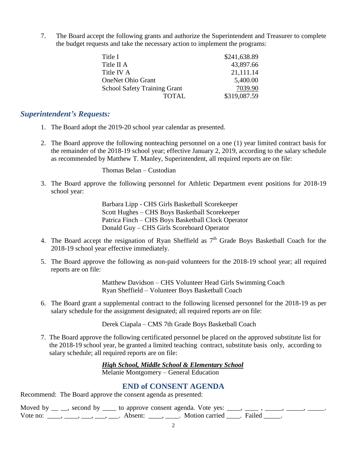7. The Board accept the following grants and authorize the Superintendent and Treasurer to complete the budget requests and take the necessary action to implement the programs:

| Title I                             | \$241,638.89 |
|-------------------------------------|--------------|
| Title II A                          | 43,897.66    |
| Title IV A                          | 21,111.14    |
| <b>OneNet Ohio Grant</b>            | 5,400.00     |
| <b>School Safety Training Grant</b> | 7039.90      |
| <b>TOTAL</b>                        | \$319,087.59 |

#### *Superintendent's Requests:*

- 1. The Board adopt the 2019-20 school year calendar as presented.
- 2. The Board approve the following nonteaching personnel on a one (1) year limited contract basis for the remainder of the 2018-19 school year; effective January 2, 2019, according to the salary schedule as recommended by Matthew T. Manley, Superintendent, all required reports are on file:

Thomas Belan – Custodian

3. The Board approve the following personnel for Athletic Department event positions for 2018-19 school year:

> Barbara Lipp - CHS Girls Basketball Scorekeeper Scott Hughes – CHS Boys Basketball Scorekeeper Patrica Finch – CHS Boys Basketball Clock Operator Donald Guy – CHS Girls Scoreboard Operator

- 4. The Board accept the resignation of Ryan Sheffield as  $7<sup>th</sup>$  Grade Boys Basketball Coach for the 2018-19 school year effective immediately.
- 5. The Board approve the following as non-paid volunteers for the 2018-19 school year; all required reports are on file:

Matthew Davidson – CHS Volunteer Head Girls Swimming Coach Ryan Sheffield – Volunteer Boys Basketball Coach

6. The Board grant a supplemental contract to the following licensed personnel for the 2018-19 as per salary schedule for the assignment designated; all required reports are on file:

Derek Ciapala – CMS 7th Grade Boys Basketball Coach

7. The Board approve the following certificated personnel be placed on the approved substitute list for the 2018-19 school year, be granted a limited teaching contract, substitute basis only, according to salary schedule; all required reports are on file:

> *High School, Middle School & Elementary School* Melanie Montgomery – General Education

#### **END of CONSENT AGENDA**

Recommend: The Board approve the consent agenda as presented:

Moved by  $\_\_$ , second by  $\_\_$  to approve consent agenda. Vote yes:  $\_\_$ ,  $\_\_$ ,  $\_\_$ ,  $\_\_$ ,  $\_\_$ ,  $\_\_$ Vote no: \_\_\_\_, \_\_\_, \_\_\_, \_\_\_, Absent: \_\_\_\_, \_\_\_. Motion carried \_\_\_\_. Failed \_\_\_\_.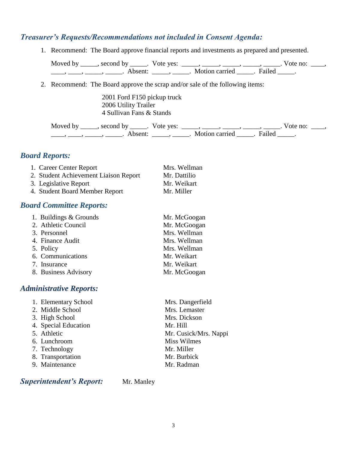#### *Treasurer's Requests/Recommendations not included in Consent Agenda:*

1. Recommend: The Board approve financial reports and investments as prepared and presented.

Moved by \_\_\_\_\_, second by \_\_\_\_\_. Vote yes: \_\_\_\_\_, \_\_\_\_\_, \_\_\_\_\_, \_\_\_\_\_, \_\_\_\_\_. Vote no: \_\_\_\_, \_\_\_\_\_, \_\_\_\_\_, \_\_\_\_\_\_. Absent: \_\_\_\_\_, \_\_\_\_\_. Motion carried \_\_\_\_\_. Failed \_\_\_\_\_.

2. Recommend: The Board approve the scrap and/or sale of the following items:

2001 Ford F150 pickup truck 2006 Utility Trailer 4 Sullivan Fans & Stands

Moved by \_\_\_\_\_, second by \_\_\_\_\_. Vote yes:  $\_\_\_\_\_\_\_\_\_\_\_\_\_\_\_$  \_\_\_\_, \_\_\_\_, \_\_\_\_. Vote no:  $\_\_\_\_\_\$ \_\_\_\_\_, \_\_\_\_\_\_, \_\_\_\_\_\_\_. Absent: \_\_\_\_\_\_, \_\_\_\_\_\_. Motion carried \_\_\_\_\_\_. Failed \_\_\_\_\_.

#### *Board Reports:*

| 1. Career Center Report               | Mrs. Wellman |
|---------------------------------------|--------------|
| 2. Student Achievement Liaison Report | Mr. Dattilio |
| 3. Legislative Report                 | Mr. Weikart  |
| 4. Student Board Member Report        | Mr. Miller   |

#### *Board Committee Reports:*

| 1. Buildings & Grounds | Mr. McGoogan |
|------------------------|--------------|
| 2. Athletic Council    | Mr. McGoogan |
| 3. Personnel           | Mrs. Wellman |
| 4. Finance Audit       | Mrs. Wellman |
| 5. Policy              | Mrs. Wellman |
| 6. Communications      | Mr. Weikart  |
| 7. Insurance           | Mr. Weikart  |
| 8. Business Advisory   | Mr. McGoogan |

#### *Administrative Reports:*

| 1. Elementary School | Mrs. Dangerfield      |
|----------------------|-----------------------|
| 2. Middle School     | Mrs. Lemaster         |
| 3. High School       | Mrs. Dickson          |
| 4. Special Education | Mr. Hill              |
| 5. Athletic          | Mr. Cusick/Mrs. Nappi |
| 6. Lunchroom         | <b>Miss Wilmes</b>    |
| 7. Technology        | Mr. Miller            |
| 8. Transportation    | Mr. Burbick           |
| 9. Maintenance       | Mr. Radman            |
|                      |                       |

**Superintendent's Report:** Mr. Manley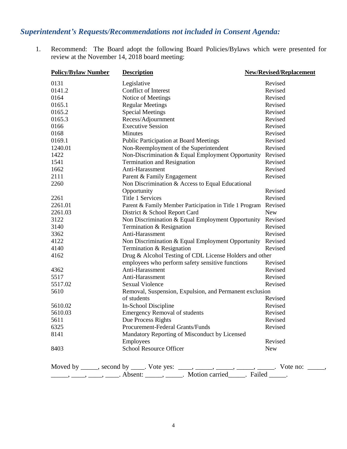# *Superintendent's Requests/Recommendations not included in Consent Agenda:*

1. Recommend: The Board adopt the following Board Policies/Bylaws which were presented for review at the November 14, 2018 board meeting:

| <b>Policy/Bylaw Number</b> | <b>Description</b>                                                                                                                                                                                                                                                                                                                                                                                                                                                                                                              | <b>New/Revised/Replacement</b> |
|----------------------------|---------------------------------------------------------------------------------------------------------------------------------------------------------------------------------------------------------------------------------------------------------------------------------------------------------------------------------------------------------------------------------------------------------------------------------------------------------------------------------------------------------------------------------|--------------------------------|
| 0131                       | Legislative                                                                                                                                                                                                                                                                                                                                                                                                                                                                                                                     | Revised                        |
| 0141.2                     | Conflict of Interest                                                                                                                                                                                                                                                                                                                                                                                                                                                                                                            | Revised                        |
| 0164                       | Notice of Meetings                                                                                                                                                                                                                                                                                                                                                                                                                                                                                                              | Revised                        |
| 0165.1                     | <b>Regular Meetings</b>                                                                                                                                                                                                                                                                                                                                                                                                                                                                                                         | Revised                        |
| 0165.2                     | <b>Special Meetings</b>                                                                                                                                                                                                                                                                                                                                                                                                                                                                                                         | Revised                        |
| 0165.3                     | Recess/Adjournment                                                                                                                                                                                                                                                                                                                                                                                                                                                                                                              | Revised                        |
| 0166                       | <b>Executive Session</b>                                                                                                                                                                                                                                                                                                                                                                                                                                                                                                        | Revised                        |
| 0168                       | Minutes                                                                                                                                                                                                                                                                                                                                                                                                                                                                                                                         | Revised                        |
| 0169.1                     | <b>Public Participation at Board Meetings</b>                                                                                                                                                                                                                                                                                                                                                                                                                                                                                   | Revised                        |
| 1240.01                    | Non-Reemployment of the Superintendent                                                                                                                                                                                                                                                                                                                                                                                                                                                                                          | Revised                        |
| 1422                       | Non-Discrimination & Equal Employment Opportunity                                                                                                                                                                                                                                                                                                                                                                                                                                                                               | Revised                        |
| 1541                       | Termination and Resignation                                                                                                                                                                                                                                                                                                                                                                                                                                                                                                     | Revised                        |
| 1662                       | Anti-Harassment                                                                                                                                                                                                                                                                                                                                                                                                                                                                                                                 | Revised                        |
| 2111                       | Parent & Family Engagement                                                                                                                                                                                                                                                                                                                                                                                                                                                                                                      | Revised                        |
| 2260                       | Non Discrimination & Access to Equal Educational                                                                                                                                                                                                                                                                                                                                                                                                                                                                                |                                |
|                            | Opportunity                                                                                                                                                                                                                                                                                                                                                                                                                                                                                                                     | Revised                        |
| 2261                       | <b>Title 1 Services</b>                                                                                                                                                                                                                                                                                                                                                                                                                                                                                                         | Revised                        |
| 2261.01                    | Parent & Family Member Participation in Title 1 Program                                                                                                                                                                                                                                                                                                                                                                                                                                                                         | Revised                        |
| 2261.03                    | District & School Report Card                                                                                                                                                                                                                                                                                                                                                                                                                                                                                                   | <b>New</b>                     |
| 3122                       | Non Discrimination & Equal Employment Opportunity                                                                                                                                                                                                                                                                                                                                                                                                                                                                               | Revised                        |
| 3140                       | Termination & Resignation                                                                                                                                                                                                                                                                                                                                                                                                                                                                                                       | Revised                        |
| 3362                       | Anti-Harassment                                                                                                                                                                                                                                                                                                                                                                                                                                                                                                                 | Revised                        |
| 4122                       | Non Discrimination & Equal Employment Opportunity                                                                                                                                                                                                                                                                                                                                                                                                                                                                               | Revised                        |
| 4140                       | Termination & Resignation                                                                                                                                                                                                                                                                                                                                                                                                                                                                                                       | Revised                        |
| 4162                       | Drug & Alcohol Testing of CDL License Holders and other                                                                                                                                                                                                                                                                                                                                                                                                                                                                         |                                |
|                            | employees who perform safety sensitive functions                                                                                                                                                                                                                                                                                                                                                                                                                                                                                | Revised                        |
| 4362                       | Anti-Harassment                                                                                                                                                                                                                                                                                                                                                                                                                                                                                                                 | Revised                        |
| 5517                       | Anti-Harassment                                                                                                                                                                                                                                                                                                                                                                                                                                                                                                                 | Revised                        |
| 5517.02                    | <b>Sexual Violence</b>                                                                                                                                                                                                                                                                                                                                                                                                                                                                                                          | Revised                        |
| 5610                       | Removal, Suspension, Expulsion, and Permanent exclusion                                                                                                                                                                                                                                                                                                                                                                                                                                                                         |                                |
|                            | of students                                                                                                                                                                                                                                                                                                                                                                                                                                                                                                                     | Revised                        |
| 5610.02                    | In-School Discipline                                                                                                                                                                                                                                                                                                                                                                                                                                                                                                            | Revised                        |
| 5610.03                    | <b>Emergency Removal of students</b>                                                                                                                                                                                                                                                                                                                                                                                                                                                                                            | Revised                        |
| 5611                       | Due Process Rights                                                                                                                                                                                                                                                                                                                                                                                                                                                                                                              | Revised                        |
| 6325                       | Procurement-Federal Grants/Funds                                                                                                                                                                                                                                                                                                                                                                                                                                                                                                | Revised                        |
| 8141                       | Mandatory Reporting of Misconduct by Licensed                                                                                                                                                                                                                                                                                                                                                                                                                                                                                   |                                |
|                            | Employees                                                                                                                                                                                                                                                                                                                                                                                                                                                                                                                       | Revised                        |
| 8403                       | <b>School Resource Officer</b>                                                                                                                                                                                                                                                                                                                                                                                                                                                                                                  | <b>New</b>                     |
|                            | Moved by _____, second by _____. Vote yes: ____, _____, _____, _____, _____. Vote no: _____,<br>$\frac{1}{\sqrt{1-\frac{1}{2}}}, \frac{1}{\sqrt{1-\frac{1}{2}}}, \frac{1}{\sqrt{1-\frac{1}{2}}}, \frac{1}{\sqrt{1-\frac{1}{2}}}, \frac{1}{\sqrt{1-\frac{1}{2}}}, \frac{1}{\sqrt{1-\frac{1}{2}}}, \frac{1}{\sqrt{1-\frac{1}{2}}}, \frac{1}{\sqrt{1-\frac{1}{2}}}, \frac{1}{\sqrt{1-\frac{1}{2}}}, \frac{1}{\sqrt{1-\frac{1}{2}}}, \frac{1}{\sqrt{1-\frac{1}{2}}}, \frac{1}{\sqrt{1-\frac{1}{2}}}, \frac{1}{\sqrt{1-\frac{1}{2}}$ |                                |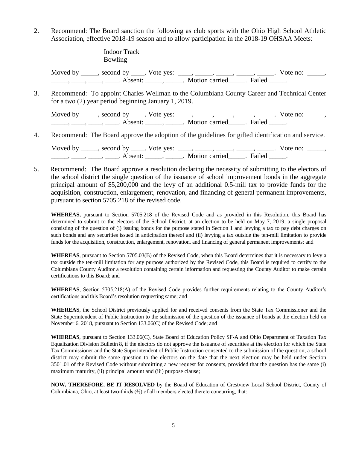2. Recommend: The Board sanction the following as club sports with the Ohio High School Athletic Association, effective 2018-19 season and to allow participation in the 2018-19 OHSAA Meets:

> Indoor Track Bowling

Moved by \_\_\_\_, second by \_\_\_\_. Vote yes:  $\frac{1}{\sqrt{2}}$ , \_\_\_\_, \_\_\_\_, \_\_\_\_, \_\_\_\_, Wote no: \_\_\_\_, \_\_\_\_\_\_, \_\_\_\_\_, \_\_\_\_\_. Absent: \_\_\_\_\_\_, \_\_\_\_\_\_. Motion carried \_\_\_\_\_. Failed \_\_\_\_\_.

 3. Recommend: To appoint Charles Wellman to the Columbiana County Career and Technical Center for a two (2) year period beginning January 1, 2019.

Moved by \_\_\_\_, second by \_\_\_\_. Vote yes:  $\frac{1}{\sqrt{2}}$ , \_\_\_\_, \_\_\_\_, \_\_\_\_, \_\_\_\_, Wote no: \_\_\_\_, \_\_\_\_\_\_, \_\_\_\_\_, \_\_\_\_\_. Absent: \_\_\_\_\_\_, \_\_\_\_\_\_. Motion carried \_\_\_\_\_. Failed \_\_\_\_\_.

4. Recommend: The Board approve the adoption of the guidelines for gifted identification and service.

Moved by \_\_\_\_, second by \_\_\_\_. Vote yes:  $\frac{1}{\sqrt{2}}$ , \_\_\_\_, \_\_\_\_, \_\_\_\_, \_\_\_\_, Wote no: \_\_\_\_, \_\_\_\_\_\_, \_\_\_\_\_, \_\_\_\_\_. Absent: \_\_\_\_\_\_, \_\_\_\_\_\_. Motion carried \_\_\_\_\_. Failed \_\_\_\_\_.

 5. Recommend: The Board approve a resolution declaring the necessity of submitting to the electors of the school district the single question of the issuance of school improvement bonds in the aggregate principal amount of \$5,200,000 and the levy of an additional 0.5-mill tax to provide funds for the acquisition, construction, enlargement, renovation, and financing of general permanent improvements, pursuant to section 5705.218 of the revised code.

**WHEREAS,** pursuant to Section 5705.218 of the Revised Code and as provided in this Resolution, this Board has determined to submit to the electors of the School District, at an election to be held on May 7, 2019, a single proposal consisting of the question of (i) issuing bonds for the purpose stated in Section 1 and levying a tax to pay debt charges on such bonds and any securities issued in anticipation thereof and (ii) levying a tax outside the ten-mill limitation to provide funds for the acquisition, construction, enlargement, renovation, and financing of general permanent improvements; and

**WHEREAS**, pursuant to Section 5705.03(B) of the Revised Code, when this Board determines that it is necessary to levy a tax outside the ten-mill limitation for any purpose authorized by the Revised Code, this Board is required to certify to the Columbiana County Auditor a resolution containing certain information and requesting the County Auditor to make certain certifications to this Board; and

**WHEREAS**, Section 5705.218(A) of the Revised Code provides further requirements relating to the County Auditor's certifications and this Board's resolution requesting same; and

**WHEREAS**, the School District previously applied for and received consents from the State Tax Commissioner and the State Superintendent of Public Instruction to the submission of the question of the issuance of bonds at the election held on November 6, 2018, pursuant to Section 133.06(C) of the Revised Code; and

**WHEREAS**, pursuant to Section 133.06(C), State Board of Education Policy SF-A and Ohio Department of Taxation Tax Equalization Division Bulletin 8, if the electors do not approve the issuance of securities at the election for which the State Tax Commissioner and the State Superintendent of Public Instruction consented to the submission of the question, a school district may submit the same question to the electors on the date that the next election may be held under Section 3501.01 of the Revised Code without submitting a new request for consents, provided that the question has the same (i) maximum maturity, (ii) principal amount and (iii) purpose clause;

**NOW, THEREFORE, BE IT RESOLVED** by the Board of Education of Crestview Local School District, County of Columbiana, Ohio, at least two-thirds (⅔) of all members elected thereto concurring, that: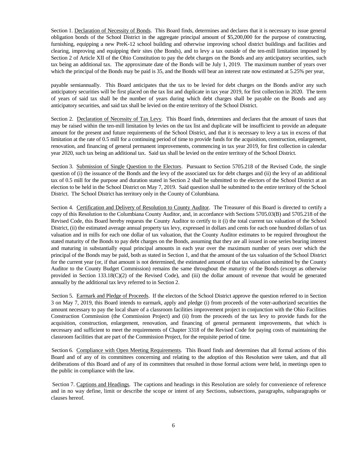Section 1. Declaration of Necessity of Bonds. This Board finds, determines and declares that it is necessary to issue general obligation bonds of the School District in the aggregate principal amount of \$5,200,000 for the purpose of constructing, furnishing, equipping a new PreK-12 school building and otherwise improving school district buildings and facilities and clearing, improving and equipping their sites (the Bonds), and to levy a tax outside of the ten-mill limitation imposed by Section 2 of Article XII of the Ohio Constitution to pay the debt charges on the Bonds and any anticipatory securities, such tax being an additional tax. The approximate date of the Bonds will be July 1, 2019. The maximum number of years over which the principal of the Bonds may be paid is 35, and the Bonds will bear an interest rate now estimated at 5.25% per year,

payable semiannually. This Board anticipates that the tax to be levied for debt charges on the Bonds and/or any such anticipatory securities will be first placed on the tax list and duplicate in tax year 2019, for first collection in 2020. The term of years of said tax shall be the number of years during which debt charges shall be payable on the Bonds and any anticipatory securities, and said tax shall be levied on the entire territory of the School District.

Section 2. Declaration of Necessity of Tax Levy. This Board finds, determines and declares that the amount of taxes that may be raised within the ten-mill limitation by levies on the tax list and duplicate will be insufficient to provide an adequate amount for the present and future requirements of the School District, and that it is necessary to levy a tax in excess of that limitation at the rate of 0.5 mill for a continuing period of time to provide funds for the acquisition, construction, enlargement, renovation, and financing of general permanent improvements, commencing in tax year 2019, for first collection in calendar year 2020, such tax being an additional tax. Said tax shall be levied on the entire territory of the School District.

 Section 3. Submission of Single Question to the Electors. Pursuant to Section 5705.218 of the Revised Code, the single question of (i) the issuance of the Bonds and the levy of the associated tax for debt charges and (ii) the levy of an additional tax of 0.5 mill for the purpose and duration stated in Section 2 shall be submitted to the electors of the School District at an election to be held in the School District on May 7, 2019. Said question shall be submitted to the entire territory of the School District. The School District has territory only in the County of Columbiana.

Section 4. Certification and Delivery of Resolution to County Auditor. The Treasurer of this Board is directed to certify a copy of this Resolution to the Columbiana County Auditor, and, in accordance with Sections 5705.03(B) and 5705.218 of the Revised Code, this Board hereby requests the County Auditor to certify to it (i) the total current tax valuation of the School District, (ii) the estimated average annual property tax levy, expressed in dollars and cents for each one hundred dollars of tax valuation and in mills for each one dollar of tax valuation, that the County Auditor estimates to be required throughout the stated maturity of the Bonds to pay debt charges on the Bonds, assuming that they are all issued in one series bearing interest and maturing in substantially equal principal amounts in each year over the maximum number of years over which the principal of the Bonds may be paid, both as stated in Section 1, and that the amount of the tax valuation of the School District for the current year (or, if that amount is not determined, the estimated amount of that tax valuation submitted by the County Auditor to the County Budget Commission) remains the same throughout the maturity of the Bonds (except as otherwise provided in Section 133.18(C)(2) of the Revised Code), and (iii) the dollar amount of revenue that would be generated annually by the additional tax levy referred to in Section 2.

 Section 5. Earmark and Pledge of Proceeds. If the electors of the School District approve the question referred to in Section 3 on May 7, 2019, this Board intends to earmark, apply and pledge (i) from proceeds of the voter-authorized securities the amount necessary to pay the local share of a classroom facilities improvement project in conjunction with the Ohio Facilities Construction Commission (the Commission Project) and (ii) from the proceeds of the tax levy to provide funds for the acquisition, construction, enlargement, renovation, and financing of general permanent improvements, that which is necessary and sufficient to meet the requirements of Chapter 3318 of the Revised Code for paying costs of maintaining the classroom facilities that are part of the Commission Project, for the requisite period of time.

 Section 6. Compliance with Open Meeting Requirements. This Board finds and determines that all formal actions of this Board and of any of its committees concerning and relating to the adoption of this Resolution were taken, and that all deliberations of this Board and of any of its committees that resulted in those formal actions were held, in meetings open to the public in compliance with the law.

 Section 7. Captions and Headings. The captions and headings in this Resolution are solely for convenience of reference and in no way define, limit or describe the scope or intent of any Sections, subsections, paragraphs, subparagraphs or clauses hereof.